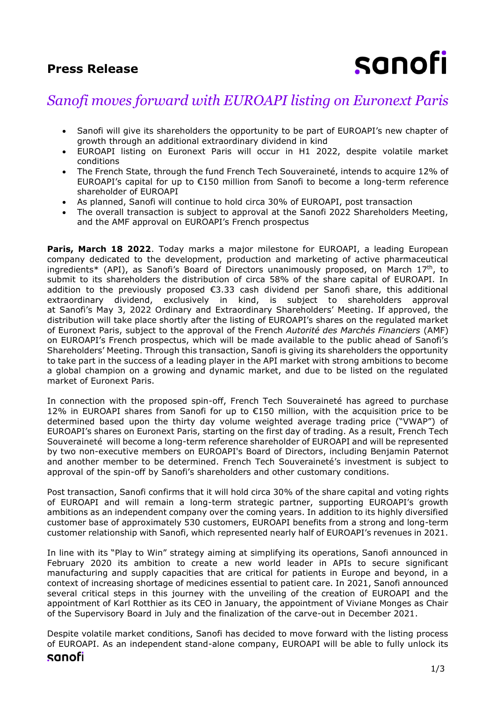### **Press Release**

# sanofi

## *Sanofi moves forward with EUROAPI listing on Euronext Paris*

- Sanofi will give its shareholders the opportunity to be part of EUROAPI's new chapter of growth through an additional extraordinary dividend in kind
- EUROAPI listing on Euronext Paris will occur in H1 2022, despite volatile market conditions
- The French State, through the fund French Tech Souveraineté, intends to acquire 12% of EUROAPI's capital for up to €150 million from Sanofi to become a long-term reference shareholder of EUROAPI
- As planned, Sanofi will continue to hold circa 30% of EUROAPI, post transaction
- The overall transaction is subject to approval at the Sanofi 2022 Shareholders Meeting, and the AMF approval on EUROAPI's French prospectus

**Paris, March 18 2022**. Today marks a major milestone for EUROAPI, a leading European company dedicated to the development, production and marketing of active pharmaceutical ingredients\* (API), as Sanofi's Board of Directors unanimously proposed, on March 17th, to submit to its shareholders the distribution of circa 58% of the share capital of EUROAPI. In addition to the previously proposed €3.33 cash dividend per Sanofi share, this additional extraordinary dividend, exclusively in kind, is subject to shareholders approval at Sanofi's May 3, 2022 Ordinary and Extraordinary Shareholders' Meeting. If approved, the distribution will take place shortly after the listing of EUROAPI's shares on the regulated market of Euronext Paris, subject to the approval of the French *Autorité des Marchés Financiers* (AMF) on EUROAPI's French prospectus, which will be made available to the public ahead of Sanofi's Shareholders' Meeting. Through this transaction, Sanofi is giving its shareholders the opportunity to take part in the success of a leading player in the API market with strong ambitions to become a global champion on a growing and dynamic market, and due to be listed on the regulated market of Euronext Paris.

In connection with the proposed spin-off, French Tech Souveraineté has agreed to purchase 12% in EUROAPI shares from Sanofi for up to €150 million, with the acquisition price to be determined based upon the thirty day volume weighted average trading price ("VWAP") of EUROAPI's shares on Euronext Paris, starting on the first day of trading. As a result, French Tech Souveraineté will become a long-term reference shareholder of EUROAPI and will be represented by two non-executive members on EUROAPI's Board of Directors, including Benjamin Paternot and another member to be determined. French Tech Souveraineté's investment is subject to approval of the spin-off by Sanofi's shareholders and other customary conditions.

Post transaction, Sanofi confirms that it will hold circa 30% of the share capital and voting rights of EUROAPI and will remain a long-term strategic partner, supporting EUROAPI's growth ambitions as an independent company over the coming years. In addition to its highly diversified customer base of approximately 530 customers, EUROAPI benefits from a strong and long-term customer relationship with Sanofi, which represented nearly half of EUROAPI's revenues in 2021.

In line with its "Play to Win" strategy aiming at simplifying its operations, Sanofi announced in February 2020 its ambition to create a new world leader in APIs to secure significant manufacturing and supply capacities that are critical for patients in Europe and beyond, in a context of increasing shortage of medicines essential to patient care. In 2021, Sanofi announced several critical steps in this journey with the unveiling of the creation of EUROAPI and the appointment of Karl Rotthier as its CEO in January, the appointment of Viviane Monges as Chair of the Supervisory Board in July and the finalization of the carve-out in December 2021.

Despite volatile market conditions, Sanofi has decided to move forward with the listing process of EUROAPI. As an independent stand-alone company, EUROAPI will be able to fully unlock its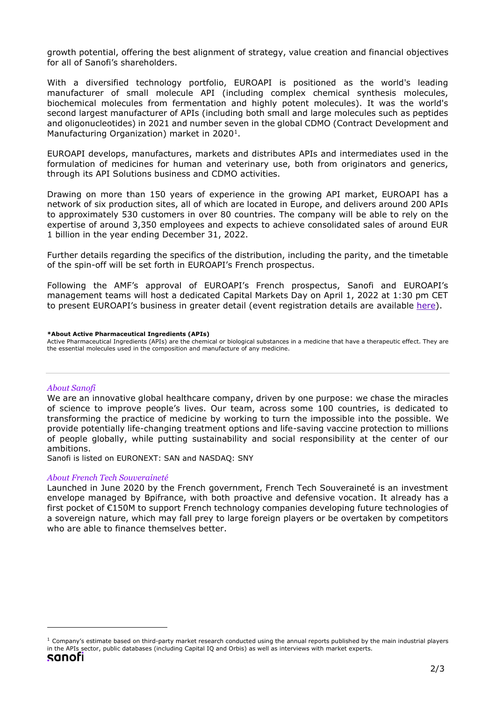growth potential, offering the best alignment of strategy, value creation and financial objectives for all of Sanofi's shareholders.

With a diversified technology portfolio, EUROAPI is positioned as the world's leading manufacturer of small molecule API (including complex chemical synthesis molecules, biochemical molecules from fermentation and highly potent molecules). It was the world's second largest manufacturer of APIs (including both small and large molecules such as peptides and oligonucleotides) in 2021 and number seven in the global CDMO (Contract Development and Manufacturing Organization) market in 2020<sup>1</sup>.

EUROAPI develops, manufactures, markets and distributes APIs and intermediates used in the formulation of medicines for human and veterinary use, both from originators and generics, through its API Solutions business and CDMO activities.

Drawing on more than 150 years of experience in the growing API market, EUROAPI has a network of six production sites, all of which are located in Europe, and delivers around 200 APIs to approximately 530 customers in over 80 countries. The company will be able to rely on the expertise of around 3,350 employees and expects to achieve consolidated sales of around EUR 1 billion in the year ending December 31, 2022.

Further details regarding the specifics of the distribution, including the parity, and the timetable of the spin-off will be set forth in EUROAPI's French prospectus.

Following the AMF's approval of EUROAPI's French prospectus, Sanofi and EUROAPI's management teams will host a dedicated Capital Markets Day on April 1, 2022 at 1:30 pm CET to present EUROAPI's business in greater detail (event registration details are available [here\)](https://sanofi.zoom.us/webinar/register/WN_6rqF_uqqQJOg0M9eT22MkQ).

#### **\*About Active Pharmaceutical Ingredients (APIs)**

Active Pharmaceutical Ingredients (APIs) are the chemical or biological substances in a medicine that have a therapeutic effect. They are the essential molecules used in the composition and manufacture of any medicine.

#### *About Sanofi*

We are an innovative global healthcare company, driven by one purpose: we chase the miracles of science to improve people's lives. Our team, across some 100 countries, is dedicated to transforming the practice of medicine by working to turn the impossible into the possible. We provide potentially life-changing treatment options and life-saving vaccine protection to millions of people globally, while putting sustainability and social responsibility at the center of our ambitions.

Sanofi is listed on EURONEXT: SAN and NASDAQ: SNY

#### *About French Tech Souveraineté*

Launched in June 2020 by the French government, French Tech Souveraineté is an investment envelope managed by Bpifrance, with both proactive and defensive vocation. It already has a first pocket of €150M to support French technology companies developing future technologies of a sovereign nature, which may fall prey to large foreign players or be overtaken by competitors who are able to finance themselves better.

 $1$  Company's estimate based on third-party market research conducted using the annual reports published by the main industrial players in the APIs sector, public databases (including Capital IQ and Orbis) as well as interviews with market experts.